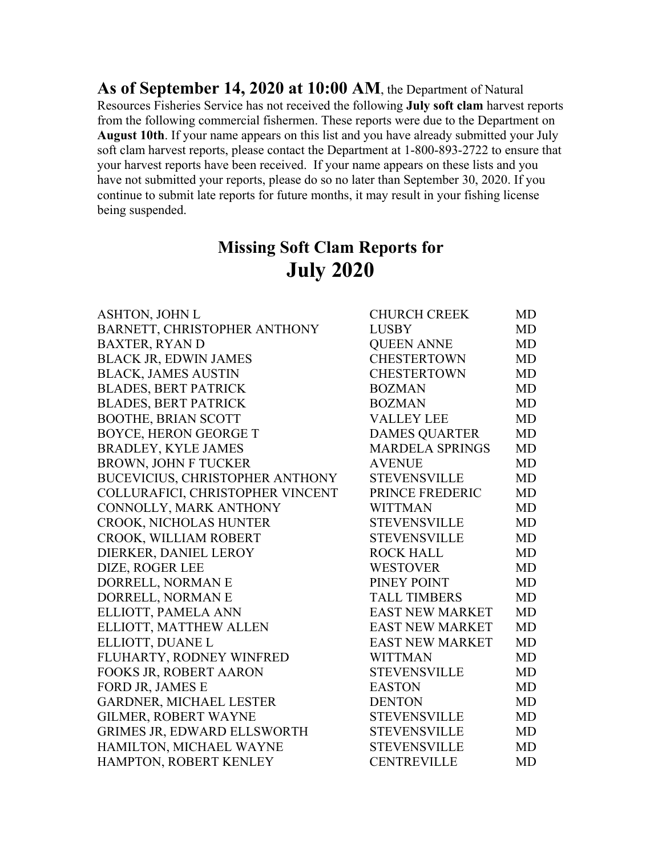**As of September 14, 2020 at 10:00 AM**, the Department of Natural Resources Fisheries Service has not received the following **July soft clam** harvest reports from the following commercial fishermen. These reports were due to the Department on **August 10th**. If your name appears on this list and you have already submitted your July soft clam harvest reports, please contact the Department at 1-800-893-2722 to ensure that your harvest reports have been received. If your name appears on these lists and you have not submitted your reports, please do so no later than September 30, 2020. If you continue to submit late reports for future months, it may result in your fishing license being suspended.

## **Missing Soft Clam Reports for July 2020**

| <b>ASHTON, JOHN L</b>                  | <b>CHURCH CREEK</b>    | MD        |
|----------------------------------------|------------------------|-----------|
| BARNETT, CHRISTOPHER ANTHONY           | <b>LUSBY</b>           | MD        |
| <b>BAXTER, RYAN D</b>                  | <b>QUEEN ANNE</b>      | MD        |
| <b>BLACK JR, EDWIN JAMES</b>           | <b>CHESTERTOWN</b>     | MD        |
| <b>BLACK, JAMES AUSTIN</b>             | <b>CHESTERTOWN</b>     | MD        |
| <b>BLADES, BERT PATRICK</b>            | <b>BOZMAN</b>          | MD        |
| <b>BLADES, BERT PATRICK</b>            | <b>BOZMAN</b>          | MD        |
| <b>BOOTHE, BRIAN SCOTT</b>             | <b>VALLEY LEE</b>      | MD        |
| <b>BOYCE, HERON GEORGE T</b>           | <b>DAMES QUARTER</b>   | MD        |
| <b>BRADLEY, KYLE JAMES</b>             | <b>MARDELA SPRINGS</b> | MD        |
| <b>BROWN, JOHN F TUCKER</b>            | <b>AVENUE</b>          | MD        |
| <b>BUCEVICIUS, CHRISTOPHER ANTHONY</b> | <b>STEVENSVILLE</b>    | MD        |
| COLLURAFICI, CHRISTOPHER VINCENT       | PRINCE FREDERIC        | MD        |
| CONNOLLY, MARK ANTHONY                 | <b>WITTMAN</b>         | MD        |
| <b>CROOK, NICHOLAS HUNTER</b>          | <b>STEVENSVILLE</b>    | MD        |
| CROOK, WILLIAM ROBERT                  | <b>STEVENSVILLE</b>    | MD        |
| DIERKER, DANIEL LEROY                  | <b>ROCK HALL</b>       | MD        |
| DIZE, ROGER LEE                        | <b>WESTOVER</b>        | MD        |
| DORRELL, NORMAN E                      | PINEY POINT            | MD        |
| DORRELL, NORMAN E                      | <b>TALL TIMBERS</b>    | MD        |
| ELLIOTT, PAMELA ANN                    | <b>EAST NEW MARKET</b> | MD        |
| ELLIOTT, MATTHEW ALLEN                 | <b>EAST NEW MARKET</b> | <b>MD</b> |
| ELLIOTT, DUANE L                       | <b>EAST NEW MARKET</b> | MD        |
| FLUHARTY, RODNEY WINFRED               | <b>WITTMAN</b>         | MD        |
| FOOKS JR, ROBERT AARON                 | <b>STEVENSVILLE</b>    | MD        |
| FORD JR, JAMES E                       | <b>EASTON</b>          | MD        |
| <b>GARDNER, MICHAEL LESTER</b>         | <b>DENTON</b>          | MD        |
| <b>GILMER, ROBERT WAYNE</b>            | <b>STEVENSVILLE</b>    | MD        |
| GRIMES JR, EDWARD ELLSWORTH            | <b>STEVENSVILLE</b>    | MD        |
| HAMILTON, MICHAEL WAYNE                | <b>STEVENSVILLE</b>    | MD        |
| HAMPTON, ROBERT KENLEY                 | <b>CENTREVILLE</b>     | <b>MD</b> |
|                                        |                        |           |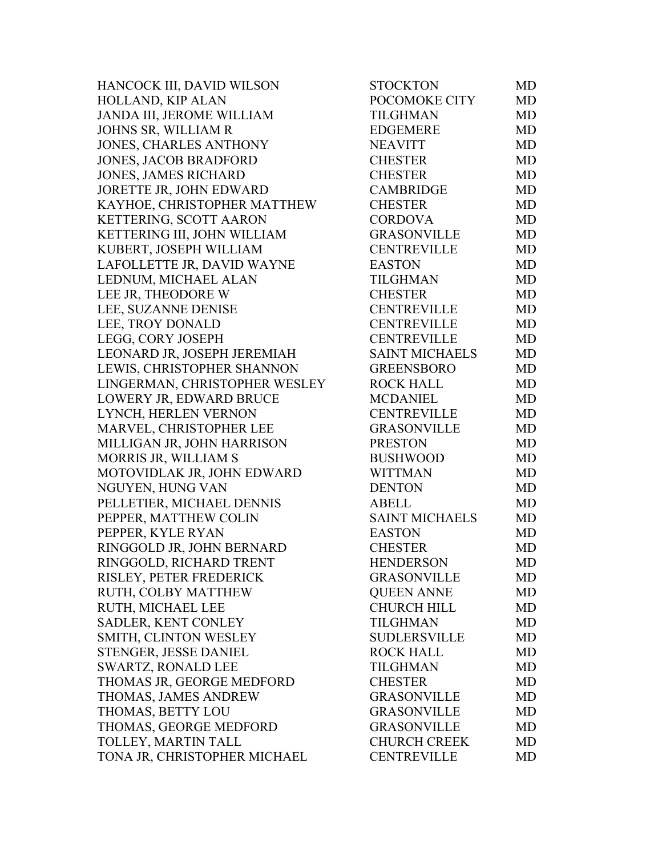HANCOCK III, DAVID WILSON HOLLAND, KIP ALAN JANDA III, JEROME WILLIAM JOHNS SR, WILLIAM R JONES, CHARLES ANTHONY JONES, JACOB BRADFORD JONES, JAMES RICHARD JORETTE JR, JOHN EDWARD KAYHOE, CHRISTOPHER MATTHEW KETTERING, SCOTT AARON KETTERING III, JOHN WILLIAM KUBERT, JOSEPH WILLIAM LAFOLLETTE JR, DAVID WAYNE LEDNUM, MICHAEL ALAN LEE JR, THEODORE W LEE, SUZANNE DENISE LEE, TROY DONALD LEGG, CORY JOSEPH LEONARD JR, JOSEPH JEREMIAH LEWIS, CHRISTOPHER SHANNON LINGERMAN, CHRISTOPHER WESLEY LOWERY JR, EDWARD BRUCE LYNCH, HERLEN VERNON MARVEL, CHRISTOPHER LEE MILLIGAN JR, JOHN HARRISON MORRIS JR, WILLIAM S MOTOVIDLAK JR, JOHN EDWARD NGUYEN, HUNG VAN PELLETIER, MICHAEL DENNIS PEPPER, MATTHEW COLIN PEPPER, KYLE RYAN RINGGOLD JR, JOHN BERNARD RINGGOLD, RICHARD TRENT RISLEY, PETER FREDERICK RUTH, COLBY MATTHEW RUTH, MICHAEL LEE SADLER, KENT CONLEY SMITH, CLINTON WESLEY STENGER, JESSE DANIEL SWARTZ, RONALD LEE THOMAS JR, GEORGE MEDFORD THOMAS, JAMES ANDREW THOMAS, BETTY LOU THOMAS, GEORGE MEDFORD TOLLEY, MARTIN TALL TONA JR, CHRISTOPHER MICHAEL

| POCOMOKE CITY<br><b>TILGHMAN</b><br><b>EDGEMERE</b><br><b>NEAVITT</b><br><b>CHESTER</b><br><b>CHESTER</b><br><b>CAMBRIDGE</b><br><b>CHESTER</b><br><b>CORDOVA</b><br><b>GRASONVILLE</b><br><b>CENTREVILLE</b><br><b>EASTON</b><br><b>TILGHMAN</b><br><b>CHESTER</b><br><b>CENTREVILLE</b><br><b>CENTREVILLE</b><br><b>CENTREVILLE</b><br><b>SAINT MICHAELS</b><br><b>GREENSBORO</b><br><b>ROCK HALL</b><br><b>MCDANIEL</b><br><b>CENTREVILLE</b><br><b>GRASONVILLE</b><br><b>PRESTON</b><br><b>BUSHWOOD</b><br><b>WITTMAN</b><br><b>DENTON</b><br><b>ABELL</b><br><b>SAINT MICHAELS</b><br><b>EASTON</b><br><b>CHESTER</b><br><b>HENDERSON</b><br><b>GRASONVILLE</b><br><b>QUEEN ANNE</b><br><b>CHURCH HILL</b><br><b>TILGHMAN</b><br>SUDLERSVILLE<br><b>ROCK HALL</b><br><b>TILGHMAN</b><br><b>CHESTER</b><br><b>GRASONVILLE</b><br><b>GRASONVILLE</b><br><b>GRASONVILLE</b><br><b>CHURCH CREEK</b> | <b>MD</b><br><b>MD</b><br><b>MD</b><br><b>MD</b><br><b>MD</b><br><b>MD</b><br><b>MD</b><br><b>MD</b><br><b>MD</b><br><b>MD</b><br><b>MD</b><br><b>MD</b><br><b>MD</b><br><b>MD</b><br><b>MD</b><br><b>MD</b><br><b>MD</b><br><b>MD</b><br><b>MD</b><br><b>MD</b><br><b>MD</b><br><b>MD</b><br><b>MD</b><br><b>MD</b><br><b>MD</b><br><b>MD</b><br><b>MD</b><br><b>MD</b><br><b>MD</b><br><b>MD</b> |  |
|------------------------------------------------------------------------------------------------------------------------------------------------------------------------------------------------------------------------------------------------------------------------------------------------------------------------------------------------------------------------------------------------------------------------------------------------------------------------------------------------------------------------------------------------------------------------------------------------------------------------------------------------------------------------------------------------------------------------------------------------------------------------------------------------------------------------------------------------------------------------------------------------------|----------------------------------------------------------------------------------------------------------------------------------------------------------------------------------------------------------------------------------------------------------------------------------------------------------------------------------------------------------------------------------------------------|--|
|                                                                                                                                                                                                                                                                                                                                                                                                                                                                                                                                                                                                                                                                                                                                                                                                                                                                                                      |                                                                                                                                                                                                                                                                                                                                                                                                    |  |
|                                                                                                                                                                                                                                                                                                                                                                                                                                                                                                                                                                                                                                                                                                                                                                                                                                                                                                      |                                                                                                                                                                                                                                                                                                                                                                                                    |  |
|                                                                                                                                                                                                                                                                                                                                                                                                                                                                                                                                                                                                                                                                                                                                                                                                                                                                                                      |                                                                                                                                                                                                                                                                                                                                                                                                    |  |
|                                                                                                                                                                                                                                                                                                                                                                                                                                                                                                                                                                                                                                                                                                                                                                                                                                                                                                      |                                                                                                                                                                                                                                                                                                                                                                                                    |  |
|                                                                                                                                                                                                                                                                                                                                                                                                                                                                                                                                                                                                                                                                                                                                                                                                                                                                                                      |                                                                                                                                                                                                                                                                                                                                                                                                    |  |
|                                                                                                                                                                                                                                                                                                                                                                                                                                                                                                                                                                                                                                                                                                                                                                                                                                                                                                      |                                                                                                                                                                                                                                                                                                                                                                                                    |  |
|                                                                                                                                                                                                                                                                                                                                                                                                                                                                                                                                                                                                                                                                                                                                                                                                                                                                                                      |                                                                                                                                                                                                                                                                                                                                                                                                    |  |
|                                                                                                                                                                                                                                                                                                                                                                                                                                                                                                                                                                                                                                                                                                                                                                                                                                                                                                      |                                                                                                                                                                                                                                                                                                                                                                                                    |  |
|                                                                                                                                                                                                                                                                                                                                                                                                                                                                                                                                                                                                                                                                                                                                                                                                                                                                                                      |                                                                                                                                                                                                                                                                                                                                                                                                    |  |
|                                                                                                                                                                                                                                                                                                                                                                                                                                                                                                                                                                                                                                                                                                                                                                                                                                                                                                      |                                                                                                                                                                                                                                                                                                                                                                                                    |  |
|                                                                                                                                                                                                                                                                                                                                                                                                                                                                                                                                                                                                                                                                                                                                                                                                                                                                                                      |                                                                                                                                                                                                                                                                                                                                                                                                    |  |
|                                                                                                                                                                                                                                                                                                                                                                                                                                                                                                                                                                                                                                                                                                                                                                                                                                                                                                      |                                                                                                                                                                                                                                                                                                                                                                                                    |  |
|                                                                                                                                                                                                                                                                                                                                                                                                                                                                                                                                                                                                                                                                                                                                                                                                                                                                                                      |                                                                                                                                                                                                                                                                                                                                                                                                    |  |
|                                                                                                                                                                                                                                                                                                                                                                                                                                                                                                                                                                                                                                                                                                                                                                                                                                                                                                      |                                                                                                                                                                                                                                                                                                                                                                                                    |  |
|                                                                                                                                                                                                                                                                                                                                                                                                                                                                                                                                                                                                                                                                                                                                                                                                                                                                                                      |                                                                                                                                                                                                                                                                                                                                                                                                    |  |
|                                                                                                                                                                                                                                                                                                                                                                                                                                                                                                                                                                                                                                                                                                                                                                                                                                                                                                      |                                                                                                                                                                                                                                                                                                                                                                                                    |  |
|                                                                                                                                                                                                                                                                                                                                                                                                                                                                                                                                                                                                                                                                                                                                                                                                                                                                                                      |                                                                                                                                                                                                                                                                                                                                                                                                    |  |
|                                                                                                                                                                                                                                                                                                                                                                                                                                                                                                                                                                                                                                                                                                                                                                                                                                                                                                      |                                                                                                                                                                                                                                                                                                                                                                                                    |  |
|                                                                                                                                                                                                                                                                                                                                                                                                                                                                                                                                                                                                                                                                                                                                                                                                                                                                                                      |                                                                                                                                                                                                                                                                                                                                                                                                    |  |
|                                                                                                                                                                                                                                                                                                                                                                                                                                                                                                                                                                                                                                                                                                                                                                                                                                                                                                      |                                                                                                                                                                                                                                                                                                                                                                                                    |  |
|                                                                                                                                                                                                                                                                                                                                                                                                                                                                                                                                                                                                                                                                                                                                                                                                                                                                                                      |                                                                                                                                                                                                                                                                                                                                                                                                    |  |
|                                                                                                                                                                                                                                                                                                                                                                                                                                                                                                                                                                                                                                                                                                                                                                                                                                                                                                      |                                                                                                                                                                                                                                                                                                                                                                                                    |  |
|                                                                                                                                                                                                                                                                                                                                                                                                                                                                                                                                                                                                                                                                                                                                                                                                                                                                                                      |                                                                                                                                                                                                                                                                                                                                                                                                    |  |
|                                                                                                                                                                                                                                                                                                                                                                                                                                                                                                                                                                                                                                                                                                                                                                                                                                                                                                      |                                                                                                                                                                                                                                                                                                                                                                                                    |  |
|                                                                                                                                                                                                                                                                                                                                                                                                                                                                                                                                                                                                                                                                                                                                                                                                                                                                                                      |                                                                                                                                                                                                                                                                                                                                                                                                    |  |
|                                                                                                                                                                                                                                                                                                                                                                                                                                                                                                                                                                                                                                                                                                                                                                                                                                                                                                      |                                                                                                                                                                                                                                                                                                                                                                                                    |  |
|                                                                                                                                                                                                                                                                                                                                                                                                                                                                                                                                                                                                                                                                                                                                                                                                                                                                                                      |                                                                                                                                                                                                                                                                                                                                                                                                    |  |
|                                                                                                                                                                                                                                                                                                                                                                                                                                                                                                                                                                                                                                                                                                                                                                                                                                                                                                      |                                                                                                                                                                                                                                                                                                                                                                                                    |  |
|                                                                                                                                                                                                                                                                                                                                                                                                                                                                                                                                                                                                                                                                                                                                                                                                                                                                                                      |                                                                                                                                                                                                                                                                                                                                                                                                    |  |
|                                                                                                                                                                                                                                                                                                                                                                                                                                                                                                                                                                                                                                                                                                                                                                                                                                                                                                      |                                                                                                                                                                                                                                                                                                                                                                                                    |  |
|                                                                                                                                                                                                                                                                                                                                                                                                                                                                                                                                                                                                                                                                                                                                                                                                                                                                                                      | <b>MD</b>                                                                                                                                                                                                                                                                                                                                                                                          |  |
|                                                                                                                                                                                                                                                                                                                                                                                                                                                                                                                                                                                                                                                                                                                                                                                                                                                                                                      | <b>MD</b>                                                                                                                                                                                                                                                                                                                                                                                          |  |
|                                                                                                                                                                                                                                                                                                                                                                                                                                                                                                                                                                                                                                                                                                                                                                                                                                                                                                      | MD                                                                                                                                                                                                                                                                                                                                                                                                 |  |
|                                                                                                                                                                                                                                                                                                                                                                                                                                                                                                                                                                                                                                                                                                                                                                                                                                                                                                      | <b>MD</b>                                                                                                                                                                                                                                                                                                                                                                                          |  |
|                                                                                                                                                                                                                                                                                                                                                                                                                                                                                                                                                                                                                                                                                                                                                                                                                                                                                                      | <b>MD</b>                                                                                                                                                                                                                                                                                                                                                                                          |  |
|                                                                                                                                                                                                                                                                                                                                                                                                                                                                                                                                                                                                                                                                                                                                                                                                                                                                                                      | <b>MD</b>                                                                                                                                                                                                                                                                                                                                                                                          |  |
|                                                                                                                                                                                                                                                                                                                                                                                                                                                                                                                                                                                                                                                                                                                                                                                                                                                                                                      | <b>MD</b>                                                                                                                                                                                                                                                                                                                                                                                          |  |
|                                                                                                                                                                                                                                                                                                                                                                                                                                                                                                                                                                                                                                                                                                                                                                                                                                                                                                      | <b>MD</b>                                                                                                                                                                                                                                                                                                                                                                                          |  |
|                                                                                                                                                                                                                                                                                                                                                                                                                                                                                                                                                                                                                                                                                                                                                                                                                                                                                                      | <b>MD</b>                                                                                                                                                                                                                                                                                                                                                                                          |  |
|                                                                                                                                                                                                                                                                                                                                                                                                                                                                                                                                                                                                                                                                                                                                                                                                                                                                                                      | <b>MD</b>                                                                                                                                                                                                                                                                                                                                                                                          |  |
|                                                                                                                                                                                                                                                                                                                                                                                                                                                                                                                                                                                                                                                                                                                                                                                                                                                                                                      | <b>MD</b>                                                                                                                                                                                                                                                                                                                                                                                          |  |
|                                                                                                                                                                                                                                                                                                                                                                                                                                                                                                                                                                                                                                                                                                                                                                                                                                                                                                      | <b>MD</b>                                                                                                                                                                                                                                                                                                                                                                                          |  |
|                                                                                                                                                                                                                                                                                                                                                                                                                                                                                                                                                                                                                                                                                                                                                                                                                                                                                                      | <b>MD</b>                                                                                                                                                                                                                                                                                                                                                                                          |  |
|                                                                                                                                                                                                                                                                                                                                                                                                                                                                                                                                                                                                                                                                                                                                                                                                                                                                                                      | <b>MD</b>                                                                                                                                                                                                                                                                                                                                                                                          |  |
| <b>CENTREVILLE</b>                                                                                                                                                                                                                                                                                                                                                                                                                                                                                                                                                                                                                                                                                                                                                                                                                                                                                   | <b>MD</b>                                                                                                                                                                                                                                                                                                                                                                                          |  |